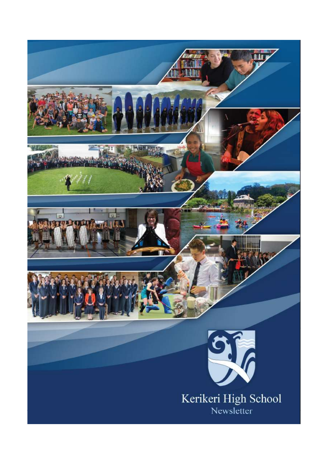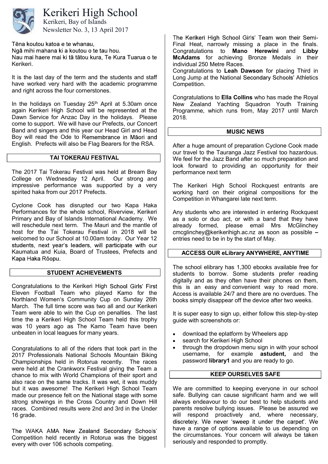

# Kerikeri High School

Newsletter No. 3, 13 April 2017 Kerikeri, Bay of Islands

Tēna koutou katoa e te whanau,

Ngā mihi mahana ki a koutou o te tau hou.

Nau mai haere mai ki tā tātou kura, Te Kura Tuarua o te Kerikeri.

It is the last day of the term and the students and staff have worked very hard with the academic programme and right across the four cornerstones.

In the holidays on Tuesday  $25<sup>th</sup>$  April at 5.30am once again Kerikeri High School will be represented at the Dawn Service for Anzac Day in the holidays. Please come to support. We will have our Prefects, our Concert Band and singers and this year our Head Girl and Head Boy will read the Ode to Remembrance in Māori and English. Prefects will also be Flag Bearers for the RSA.

# TAI TOKERAU FESTIVAL

The 2017 Tai Tokerau Festival was held at Bream Bay College on Wednesday 12 April. Our strong and impressive performance was supported by a very spirited haka from our 2017 Prefects.

Cyclone Cook has disrupted our two Kapa Haka Performances for the whole school, Riverview, Kerikeri Primary and Bay of Islands International Academy. We will reschedule next term. The Mauri and the mantle of host for the Tai Tokerau Festival in 2018 will be welcomed to our School at 10.00am today. Our Year 12 students, next year's leaders, will participate with our Kaumatua and Kuia, Board of Trustees, Prefects and Kapa Haka Rōopu.

#### STUDENT ACHIEVEMENTS

Congratulations to the Kerikeri High School Girls' First Eleven Football Team who played Kamo for the Northland Women's Community Cup on Sunday 26th March. The full time score was two all and our Kerikeri Team were able to win the Cup on penalties. The last time the a Kerikeri High School Team held this trophy was 10 years ago as The Kamo Team have been unbeaten in local leagues for many years.

Congratulations to all of the riders that took part in the 2017 Professionals National Schools Mountain Biking Championships held in Rotorua recently. The races were held at the Crankworx Festival giving the Team a chance to mix with World Champions of their sport and also race on the same tracks. It was wet, it was muddy but it was awesome! The Kerikeri High School Team made our presence felt on the National stage with some strong showings in the Cross Country and Down Hill races. Combined results were 2nd and 3rd in the Under 16 grade.

The WAKA AMA New Zealand Secondary Schools' Competition held recently in Rotorua was the biggest every with over 106 schools competing.

The Kerikeri High School Girls' Team won their Semi-Final Heat, narrowly missing a place in the finals. Congratulations to Mano Herewini and Libby McAdams for achieving Bronze Medals in their individual 250 Metre Races.

Congratulations to Leah Dawson for placing Third in Long Jump at the National Secondary Schools' Athletics Competition.

Congratulations to Ella Collins who has made the Royal New Zealand Yachting Squadron Youth Training Programme, which runs from, May 2017 until March 2018.

## MUSIC NEWS

After a huge amount of preparation Cyclone Cook made our travel to the Tauranga Jazz Festival too hazardous. We feel for the Jazz Band after so much preparation and look forward to providing an opportunity for their performance next term

The Kerikeri High School Rockquest entrants are working hard on their original compositions for the Competition in Whangarei late next term.

Any students who are interested in entering Rockquest as a solo or duo act, or with a band that they have already formed, please email Mrs McGlinchey cmcglinchey@kerikerihigh.ac.nz as soon as possible entries need to be in by the start of May.

# ACCESS OUR eLibrary ANYWHERE, ANYTIME

The school elibrary has 1,300 ebooks available free for students to borrow. Some students prefer reading digitally and as they often have their phones on them, this is an easy and convenient way to read more. Access is available 24/7 and there are no overdues. The books simply disappear off the device after two weeks.

It is super easy to sign up, either follow this step-by-step guide with screenshots or:

- download the eplatform by Wheelers app
- search for Kerikeri High School
- through the dropdown menu sign in with your school username, for example astudent, and the password library1 and you are ready to go.

# KEEP OURSELVES SAFE

We are committed to keeping everyone in our school safe. Bullying can cause significant harm and we will always endeavour to do our best to help students and parents resolve bullying issues. Please be assured we will respond proactively and, where necessary, discretely. We never 'sweep it under the carpet'. We have a range of options available to us depending on the circumstances. Your concern will always be taken seriously and responded to promptly.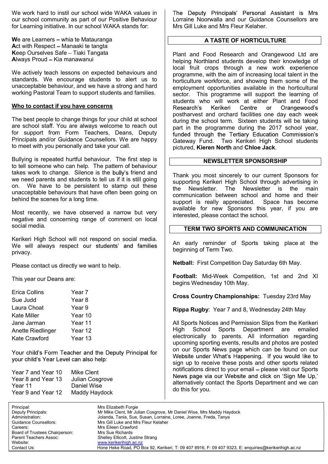We work hard to instil our school wide WAKA values in our school community as part of our Positive Behaviour for Learning initiative. In our school WAKA stands for:

We are Learners  $-$  whia te Matauranga Act with Respect - Manaaki te tangta Keep Ourselves Safe - Tiaki Tangata Always Proud - Kia manawanui

We actively teach lessons on expected behaviours and standards. We encourage students to alert us to unacceptable behaviour, and we have a strong and hard working Pastoral Team to support students and families.

## Who to contact if you have concerns

The best people to change things for your child at school are school staff. You are always welcome to reach out for support from Form Teachers, Deans, Deputy Principals and/or Guidance Counsellors. We are happy to meet with you personally and take your call.

Bullying is repeated hurtful behaviour. The first step is to tell someone who can help. The pattern of behaviour takes work to change. Silence is the bully's friend and we need parents and students to tell us if it is still going on. We have to be persistent to stamp out these unacceptable behaviours that have often been going on behind the scenes for a long time.

Most recently, we have observed a narrow but very negative and concerning range of comment on local social media.

Kerikeri High School will not respond on social media. We will always respect our students' and families privacy.

Please contact us directly we want to help.

This year our Deans are:

| Erica Collins     | Year 7  |
|-------------------|---------|
| Sue Judd          | Year 8  |
| Laura Choat       | Year 9  |
| Kate Miller       | Year 10 |
| Jane Jarman       | Year 11 |
| Anette Riedlinger | Year 12 |
| Kate Crawford     | Year 13 |
|                   |         |

Your child's Form Teacher and the Deputy Principal for your child's Year Level can also help:

| Mike Clent      |
|-----------------|
| Julian Cosgrove |
| Daniel Wise     |
| Maddy Haydock   |
|                 |

The Deputy Principals' Personal Assistant is Mrs Lorraine Noorwalla and our Guidance Counsellors are Mrs Gill Luke and Mrs Fleur Kelaher.

## A TASTE OF HORTICULTURE

Plant and Food Research and Orangewood Ltd are helping Northland students develop their knowledge of local fruit crops through a new work experience programme, with the aim of increasing local talent in the horticulture workforce, and showing them some of the employment opportunities available in the horticultural sector. This programme will support the learning of students who will work at either Plant and Food Research's Kerikeri Centre Orangewood's or postharvest and orchard facilities one day each week during the school term. Sixteen students will be taking part in the programme during the 2017 school year, funded through the Tertiary Education Commission's Gateway Fund. Two Kerikeri High School students pictured, Kieren North and Chloe Jack.

# NEWSLETTER SPONSORSHIP

Thank you most sincerely to our current Sponsors for supporting Kerikeri High School through advertising in the Newsletter. The Newsletter is the main communication between school and home and their support is really appreciated. Space has become available for new Sponsors this year, if you are interested, please contact the school.

## TERM TWO SPORTS AND COMMUNICATION

An early reminder of Sports taking place at the beginning of Term Two.

Netball: First Competition Day Saturday 6th May.

Football: Mid-Week Competition, 1st and 2nd XI begins Wednesday 10th May.

Cross Country Championships: Tuesday 23rd May

Rippa Rugby: Year 7 and 8, Wednesday 24th May

All Sports Notices and Permission Slips from the Kerikeri High School Sports Department are emailed electronically to parents. All information regarding upcoming sporting events, results and photos are posted on our Sports News page which can be found on our Website under What's Happening. If you would like to sign up to receive these posts and other sports related notifications direct to your email - please visit our Sports News page via our Website and click on 'Sign Me Up.' alternatively contact the Sports Department and we can do this for you.

Principal: Mrs Elizabeth Forgie Careers: Mrs Eileen Crawford Board of Trustees Chairperson: Mrs Sue Richards

Mr Mike Clent, Mr Julian Cosgrove, Mr Daniel Wise, Mrs Maddy Haydock Administration: Jolanda, Tania, Sue, Susan, Lorraine, Loree, Joanne, Freda, Tanya Guidance Counsellors: Mrs Gill Luke and Mrs Fleur Kelaher Parent Teachers Assoc: Shelley Ellicott, Justine Strang<br>
Website: www.kerikerihigh.ac.nz www.kerikerihigh.ac.nz Contact Us: Hone Heke Road, PO Box 92, Kerikeri, T: 09 407 8916, F: 09 407 9323, E: enquiries@kerikerihigh.ac.nz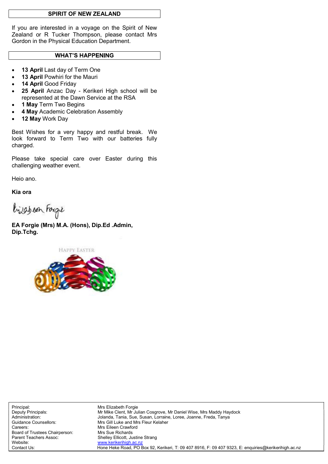## SPIRIT OF NEW ZEALAND

If you are interested in a voyage on the Spirit of New Zealand or R Tucker Thompson, please contact Mrs Gordon in the Physical Education Department.

## **WHAT'S HAPPENING**

- 13 April Last day of Term One
- 13 April Powhiri for the Mauri
- 14 April Good Friday
- 25 April Anzac Day Kerikeri High school will be represented at the Dawn Service at the RSA
- 1 May Term Two Begins
- 4 May Academic Celebration Assembly
- 12 May Work Day

Best Wishes for a very happy and restful break. We look forward to Term Two with our batteries fully charged.

Please take special care over Easter during this challenging weather event.

Heio ano.

Kia ora

bijaben Forge

EA Forgie (Mrs) M.A. (Hons), Dip.Ed .Admin, Dip.Tchg.

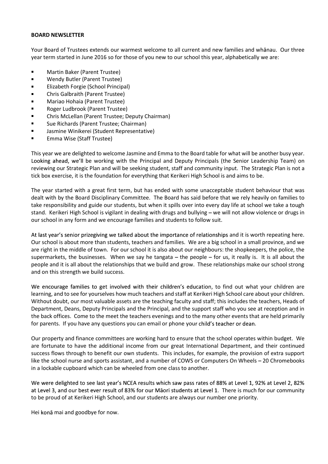#### BOARD NEWSLETTER

Your Board of Trustees extends our warmest welcome to all current and new families and whanau. Our three year term started in June 2016 so for those of you new to our school this year, alphabetically we are:

- $\blacksquare$ Martin Baker (Parent Trustee)
- $\blacksquare$ Wendy Butler (Parent Trustee)
- Elizabeth Forgie (School Principal)
- $\blacksquare$ Chris Galbraith (Parent Trustee)
- Mariao Hohaia (Parent Trustee)  $\blacksquare$
- Roger Ludbrook (Parent Trustee)  $\blacksquare$
- Chris McLellan (Parent Trustee; Deputy Chairman)  $\blacksquare$
- Sue Richards (Parent Trustee; Chairman)  $\blacksquare$
- $\blacksquare$ Jasmine Winikerei (Student Representative)
- $\blacksquare$ Emma Wise (Staff Trustee)

This year we are delighted to welcome Jasmine and Emma to the Board table for what will be another busy year. Looking ahead, we'll be working with the Principal and Deputy Principals (the Senior Leadership Team) on reviewing our Strategic Plan and will be seeking student, staff and community input. The Strategic Plan is not a tick box exercise, it is the foundation for everything that Kerikeri High School is and aims to be.

The year started with a great first term, but has ended with some unacceptable student behaviour that was dealt with by the Board Disciplinary Committee. The Board has said before that we rely heavily on families to take responsibility and guide our students, but when it spills over into every day life at school we take a tough stand. Kerikeri High School is vigilant in dealing with drugs and bullying – we will not allow violence or drugs in our school in any form and we encourage families and students to follow suit.

At last year's senior prizegiving we talked about the importance of relationships and it is worth repeating here. Our school is about more than students, teachers and families. We are a big school in a small province, and we are right in the middle of town. For our school it is also about our neighbours: the shopkeepers, the police, the supermarkets, the businesses. When we say he tangata  $-$  the people  $-$  for us, it really is. It is all about the people and it is all about the relationships that we build and grow. These relationships make our school strong and on this strength we build success.

We encourage families to get involved with their children's education, to find out what your children are learning, and to see for yourselves how much teachers and staff at Kerikeri High School care about your children. Without doubt, our most valuable assets are the teaching faculty and staff; this includes the teachers, Heads of Department, Deans, Deputy Principals and the Principal, and the support staff who you see at reception and in the back offices. Come to the meet the teachers evenings and to the many other events that are held primarily for parents. If you have any questions you can email or phone your child's teacher or dean.

Our property and finance committees are working hard to ensure that the school operates within budget. We are fortunate to have the additional income from our great International Department, and their continued success flows through to benefit our own students. This includes, for example, the provision of extra support like the school nurse and sports assistant, and a number of COWS or Computers On Wheels - 20 Chromebooks in a lockable cupboard which can be wheeled from one class to another.

We were delighted to see last year's NCEA results which saw pass rates of 88% at Level 1, 92% at Level 2, 82% at Level 3, and our best ever result of 83% for our Māori students at Level 1. There is much for our community to be proud of at Kerikeri High School, and our students are always our number one priority.

Hei konā mai and goodbye for now.